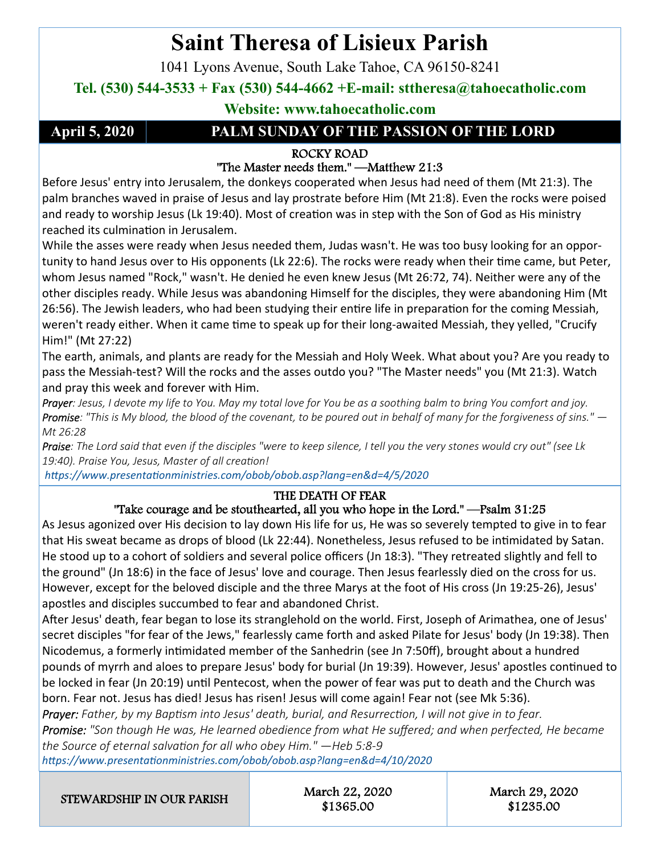# **Saint Theresa of Lisieux Parish**

1041 Lyons Avenue, South Lake Tahoe, CA 96150-8241

### **Tel. (530) 544-3533 + Fax (530) 544-4662 +E-mail: sttheresa@tahoecatholic.com**

**Website: www.tahoecatholic.com** 

### **April 5, 2020 PALM SUNDAY OF THE PASSION OF THE LORD**

#### ROCKY ROAD

### "The Master needs them." —Matthew 21:3

Before Jesus' entry into Jerusalem, the donkeys cooperated when Jesus had need of them (Mt 21:3). The palm branches waved in praise of Jesus and lay prostrate before Him (Mt 21:8). Even the rocks were poised and ready to worship Jesus (Lk 19:40). Most of creation was in step with the Son of God as His ministry reached its culmination in Jerusalem.

While the asses were ready when Jesus needed them, Judas wasn't. He was too busy looking for an opportunity to hand Jesus over to His opponents (Lk 22:6). The rocks were ready when their time came, but Peter, whom Jesus named "Rock," wasn't. He denied he even knew Jesus (Mt 26:72, 74). Neither were any of the other disciples ready. While Jesus was abandoning Himself for the disciples, they were abandoning Him (Mt 26:56). The Jewish leaders, who had been studying their entire life in preparation for the coming Messiah, weren't ready either. When it came time to speak up for their long-awaited Messiah, they yelled, "Crucify Him!" (Mt 27:22)

The earth, animals, and plants are ready for the Messiah and Holy Week. What about you? Are you ready to pass the Messiah-test? Will the rocks and the asses outdo you? "The Master needs" you (Mt 21:3). Watch and pray this week and forever with Him.

*Prayer: Jesus, I devote my life to You. May my total love for You be as a soothing balm to bring You comfort and joy. Promise: "This is My blood, the blood of the covenant, to be poured out in behalf of many for the forgiveness of sins." — Mt 26:28* 

*Praise: The Lord said that even if the disciples "were to keep silence, I tell you the very stones would cry out" (see Lk*  19:40). Praise You, Jesus, Master of all creation!

 *hƩps://www.presentaƟonministries.com/obob/obob.asp?lang=en&d=4/5/2020* 

#### THE DEATH OF FEAR

#### "Take courage and be stouthearted, all you who hope in the Lord." —Psalm 31:25

As Jesus agonized over His decision to lay down His life for us, He was so severely tempted to give in to fear that His sweat became as drops of blood (Lk 22:44). Nonetheless, Jesus refused to be intimidated by Satan. He stood up to a cohort of soldiers and several police officers (Jn 18:3). "They retreated slightly and fell to the ground" (Jn 18:6) in the face of Jesus' love and courage. Then Jesus fearlessly died on the cross for us. However, except for the beloved disciple and the three Marys at the foot of His cross (Jn 19:25-26), Jesus' apostles and disciples succumbed to fear and abandoned Christ.

After Jesus' death, fear began to lose its stranglehold on the world. First, Joseph of Arimathea, one of Jesus' secret disciples "for fear of the Jews," fearlessly came forth and asked Pilate for Jesus' body (Jn 19:38). Then Nicodemus, a formerly intimidated member of the Sanhedrin (see Jn 7:50ff), brought about a hundred pounds of myrrh and aloes to prepare Jesus' body for burial (Jn 19:39). However, Jesus' apostles continued to be locked in fear (Jn 20:19) until Pentecost, when the power of fear was put to death and the Church was born. Fear not. Jesus has died! Jesus has risen! Jesus will come again! Fear not (see Mk 5:36).

*Prayer: Father, by my Baptism into Jesus' death, burial, and Resurrection, I will not give in to fear. Promise: "Son though He was, He learned obedience from what He suffered; and when perfected, He became the Source of eternal salvaƟon for all who obey Him." —Heb 5:8‐9* 

*hƩps://www.presentaƟonministries.com/obob/obob.asp?lang=en&d=4/10/2020* 

STEWARDSHIP IN OUR PARISH March 22, 2020

\$1365.00

March 29, 2020 \$1235.00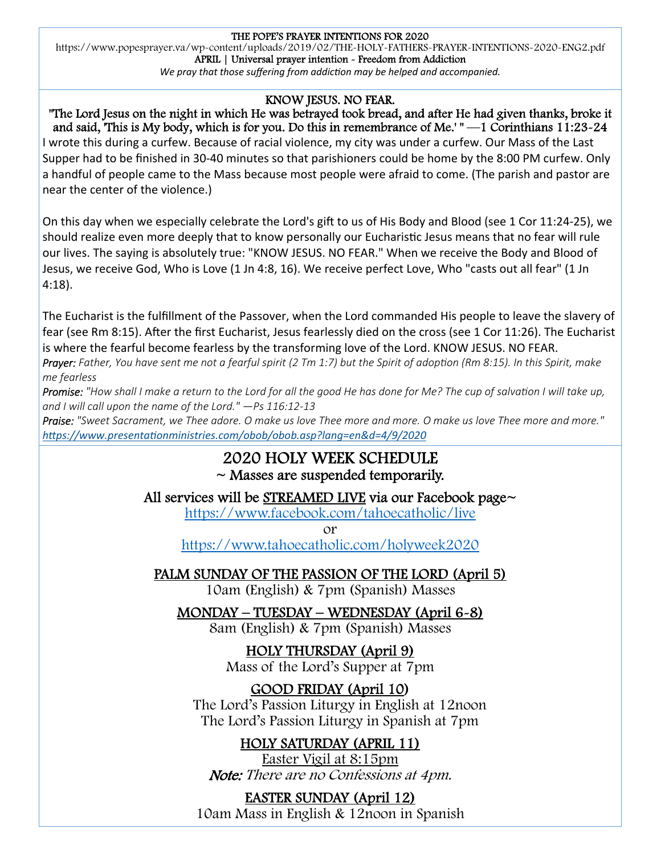#### THE POPE'S PRAYER INTENTIONS FOR 2020

https://www.popesprayer.va/wp-content/uploads/2019/02/THE-HOLY-FATHERS-PRAYER-INTENTIONS-2020-ENG2.pdf APRIL | Universal prayer intention - Freedom from Addiction

*We pray that those suffering from addiction may be helped and accompanied.* 

#### KNOW JESUS. NO FEAR.

"The Lord Jesus on the night in which He was betrayed took bread, and after He had given thanks, broke it and said, 'This is My body, which is for you. Do this in remembrance of Me.' " —1 Corinthians 11:23-24 I wrote this during a curfew. Because of racial violence, my city was under a curfew. Our Mass of the Last Supper had to be finished in 30-40 minutes so that parishioners could be home by the 8:00 PM curfew. Only a handful of people came to the Mass because most people were afraid to come. (The parish and pastor are near the center of the violence.)

On this day when we especially celebrate the Lord's gift to us of His Body and Blood (see 1 Cor 11:24-25), we should realize even more deeply that to know personally our Eucharistic Jesus means that no fear will rule our lives. The saying is absolutely true: "KNOW JESUS. NO FEAR." When we receive the Body and Blood of Jesus, we receive God, Who is Love (1 Jn 4:8, 16). We receive perfect Love, Who "casts out all fear" (1 Jn 4:18).

The Eucharist is the fulfillment of the Passover, when the Lord commanded His people to leave the slavery of fear (see Rm 8:15). After the first Eucharist, Jesus fearlessly died on the cross (see 1 Cor 11:26). The Eucharist is where the fearful become fearless by the transforming love of the Lord. KNOW JESUS. NO FEAR.

*Prayer: Father, You have sent me not a fearful spirit (2 Tm 1:7) but the Spirit of adoption (Rm 8:15). In this Spirit, make me fearless* 

*Promise: "How shall I make a return to the Lord for all the good He has done for Me? The cup of salvation I will take up, and I will call upon the name of the Lord." —Ps 116:12‐13* 

*Praise: "Sweet Sacrament, we Thee adore. O make us love Thee more and more. O make us love Thee more and more." hƩps://www.presentaƟonministries.com/obob/obob.asp?lang=en&d=4/9/2020* 

#### 2020 HOLY WEEK SCHEDULE  $\sim$  Masses are suspended temporarily.

All services will be STREAMED LIVE via our Facebook page~

https://www.facebook.com/tahoecatholic/live

or

https://www.tahoecatholic.com/holyweek2020

### PALM SUNDAY OF THE PASSION OF THE LORD (April 5)

10am (English) & 7pm (Spanish) Masses

### MONDAY – TUESDAY – WEDNESDAY (April 6-8)

8am (English) & 7pm (Spanish) Masses

HOLY THURSDAY (April 9) Mass of the Lord's Supper at 7pm

### GOOD FRIDAY (April 10)

The Lord's Passion Liturgy in English at 12noon The Lord's Passion Liturgy in Spanish at 7pm

### HOLY SATURDAY (APRIL 11)

Easter Vigil at 8:15pm Note: There are no Confessions at 4pm.

### EASTER SUNDAY (April 12)

10am Mass in English & 12noon in Spanish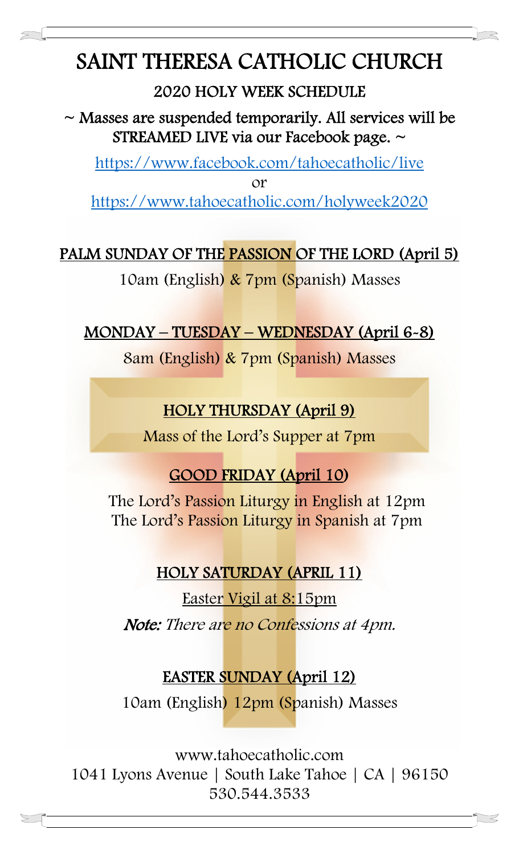# SAINT THERESA CATHOLIC CHURCH

Į

# 2020 HOLY WEEK SCHEDULE

 $\sim$  Masses are suspended temporarily. All services will be STREAMED LIVE via our Facebook page. ~

https://www.facebook.com/tahoecatholic/live or https://www.tahoecatholic.com/holyweek2020

# PALM SUNDAY OF THE PASSION OF THE LORD (April 5)

10am (English) & 7pm (Spanish) Masses

# MONDAY – TUESDAY – WEDNESDAY (April 6-8)

8am (English) & 7pm (Spanish) Masses

# HOLY THURSDAY (April 9)

Mass of the Lord's Supper at 7pm

# GOOD FRIDAY (April 10)

The Lord's Passion Liturgy in English at 12pm The Lord's Passion Liturgy in Spanish at 7pm

# HOLY SATURDAY (APRIL 11)

Easter Vigil at 8:15pm Note: There are no Confessions at 4pm.

# EASTER SUNDAY (April 12)

10am (English) 12pm (Spanish) Masses

www.tahoecatholic.com 1041 Lyons Avenue | South Lake Tahoe | CA | 96150 530.544.3533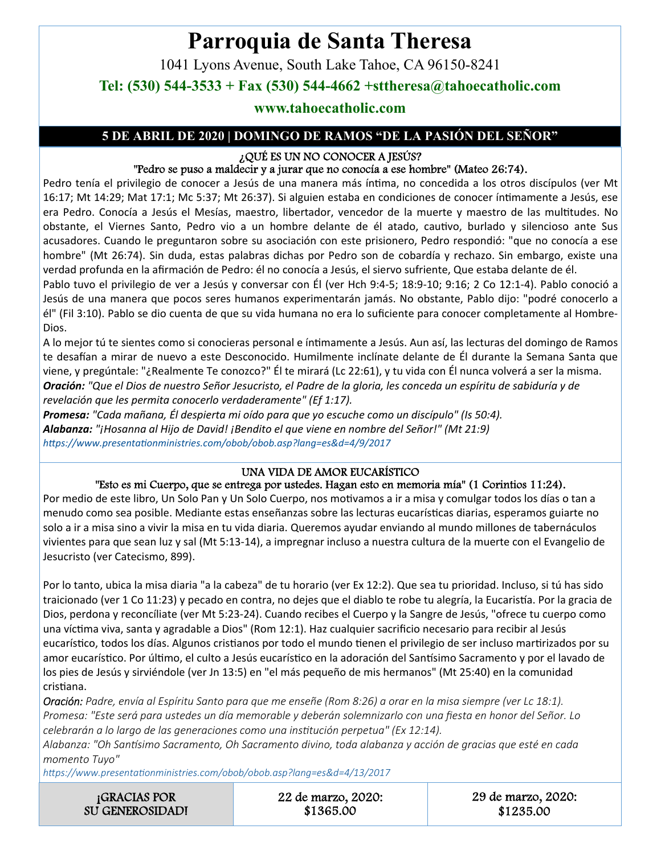# **Parroquia de Santa Theresa**

1041 Lyons Avenue, South Lake Tahoe, CA 96150-8241

**Tel: (530) 544-3533 + Fax (530) 544-4662 +sttheresa@tahoecatholic.com** 

#### **www.tahoecatholic.com**

#### **5 DE ABRIL DE 2020 | DOMINGO DE RAMOS "DE LA PASIÓN DEL SEÑOR"**

#### ¿QUÉ ES UN NO CONOCER A JESÚS?

#### "Pedro se puso a maldecir y a jurar que no conocía a ese hombre" (Mateo 26:74).

Pedro tenía el privilegio de conocer a Jesús de una manera más íntima, no concedida a los otros discípulos (ver Mt 16:17; Mt 14:29; Mat 17:1; Mc 5:37; Mt 26:37). Si alguien estaba en condiciones de conocer íntimamente a Jesús, ese era Pedro. Conocía a Jesús el Mesías, maestro, libertador, vencedor de la muerte y maestro de las multitudes. No obstante, el Viernes Santo, Pedro vio a un hombre delante de él atado, cautivo, burlado y silencioso ante Sus acusadores. Cuando le preguntaron sobre su asociación con este prisionero, Pedro respondió: "que no conocía a ese hombre" (Mt 26:74). Sin duda, estas palabras dichas por Pedro son de cobardía y rechazo. Sin embargo, existe una verdad profunda en la afirmación de Pedro: él no conocía a Jesús, el siervo sufriente, Que estaba delante de él.

Pablo tuvo el privilegio de ver a Jesús y conversar con Él (ver Hch 9:4-5; 18:9-10; 9:16; 2 Co 12:1-4). Pablo conoció a Jesús de una manera que pocos seres humanos experimentarán jamás. No obstante, Pablo dijo: "podré conocerlo a él" (Fil 3:10). Pablo se dio cuenta de que su vida humana no era lo suficiente para conocer completamente al Hombre-Dios.

A lo mejor tú te sientes como si conocieras personal e íntimamente a Jesús. Aun así, las lecturas del domingo de Ramos te desafían a mirar de nuevo a este Desconocido. Humilmente inclínate delante de Él durante la Semana Santa que viene, y pregúntale: "¿Realmente Te conozco?" Él te mirará (Lc 22:61), y tu vida con Él nunca volverá a ser la misma. *Oración: "Que el Dios de nuestro Señor Jesucristo, el Padre de la gloria, les conceda un espíritu de sabiduría y de revelación que les permita conocerlo verdaderamente" (Ef 1:17).* 

*Promesa: "Cada mañana, Él despierta mi oído para que yo escuche como un discípulo" (Is 50:4). Alabanza: "¡Hosanna al Hijo de David! ¡Bendito el que viene en nombre del Señor!" (Mt 21:9) hƩps://www.presentaƟonministries.com/obob/obob.asp?lang=es&d=4/9/2017* 

#### UNA VIDA DE AMOR EUCARÍSTICO

#### "Esto es mi Cuerpo, que se entrega por ustedes. Hagan esto en memoria mía" (1 Corintios 11:24).

Por medio de este libro, Un Solo Pan y Un Solo Cuerpo, nos motivamos a ir a misa y comulgar todos los días o tan a menudo como sea posible. Mediante estas enseñanzas sobre las lecturas eucarísticas diarias, esperamos guiarte no solo a ir a misa sino a vivir la misa en tu vida diaria. Queremos ayudar enviando al mundo millones de tabernáculos vivientes para que sean luz y sal (Mt 5:13-14), a impregnar incluso a nuestra cultura de la muerte con el Evangelio de Jesucristo (ver Catecismo, 899).

Por lo tanto, ubica la misa diaria "a la cabeza" de tu horario (ver Ex 12:2). Que sea tu prioridad. Incluso, si tú has sido traicionado (ver 1 Co 11:23) y pecado en contra, no dejes que el diablo te robe tu alegría, la Eucaristía. Por la gracia de Dios, perdona y reconcíliate (ver Mt 5:23-24). Cuando recibes el Cuerpo y la Sangre de Jesús, "ofrece tu cuerpo como una víctima viva, santa y agradable a Dios" (Rom 12:1). Haz cualquier sacrificio necesario para recibir al Jesús eucarístico, todos los días. Algunos cristianos por todo el mundo tienen el privilegio de ser incluso martirizados por su amor eucarístico. Por último, el culto a Jesús eucarístico en la adoración del Santísimo Sacramento y por el lavado de los pies de Jesús y sirviéndole (ver Jn 13:5) en "el más pequeño de mis hermanos" (Mt 25:40) en la comunidad cristiana.

*Oración: Padre, envía al Espíritu Santo para que me enseñe (Rom 8:26) a orar en la misa siempre (ver Lc 18:1). Promesa: "Este será para ustedes un día memorable y deberán solemnizarlo con una fiesta en honor del Señor. Lo celebrarán a lo largo de las generaciones como una insƟtución perpetua" (Ex 12:14).* 

*Alabanza: "Oh Sanơsimo Sacramento, Oh Sacramento divino, toda alabanza y acción de gracias que esté en cada momento Tuyo"* 

*hƩps://www.presentaƟonministries.com/obob/obob.asp?lang=es&d=4/13/2017* 

| <b>GRACIAS POR</b>     | 22 de marzo, 2020: | 29 de marzo, 2020: |
|------------------------|--------------------|--------------------|
| <b>SU GENEROSIDADI</b> | \$1365.00          | \$1235.00          |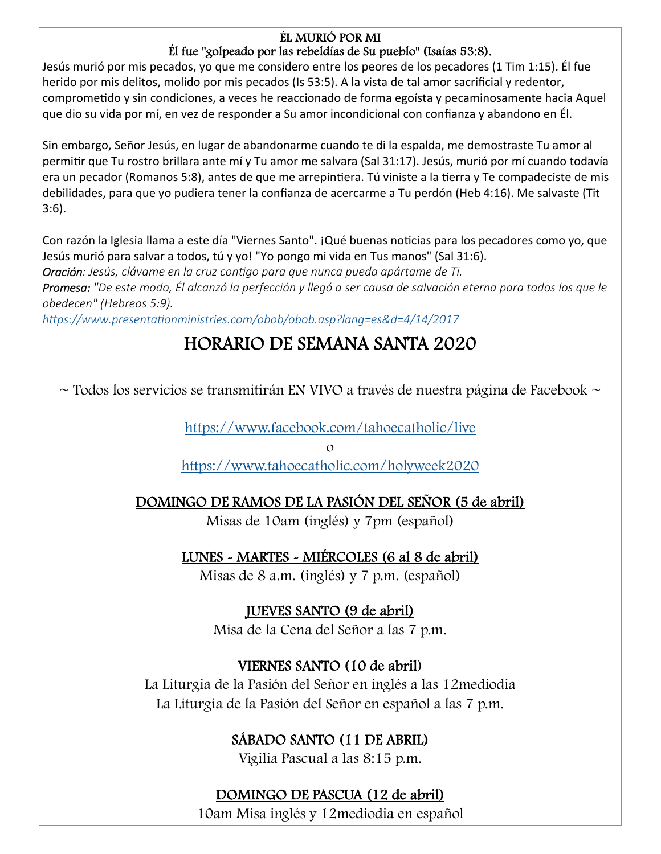### ÉL MURIÓ POR MI

### Él fue "golpeado por las rebeldías de Su pueblo" (Isaías 53:8).

Jesús murió por mis pecados, yo que me considero entre los peores de los pecadores (1 Tim 1:15). Él fue herido por mis delitos, molido por mis pecados (Is 53:5). A la vista de tal amor sacrificial y redentor, compromeƟdo y sin condiciones, a veces he reaccionado de forma egoísta y pecaminosamente hacia Aquel que dio su vida por mí, en vez de responder a Su amor incondicional con confianza y abandono en Él.

Sin embargo, Señor Jesús, en lugar de abandonarme cuando te di la espalda, me demostraste Tu amor al permitir que Tu rostro brillara ante mí y Tu amor me salvara (Sal 31:17). Jesús, murió por mí cuando todavía era un pecador (Romanos 5:8), antes de que me arrepintiera. Tú viniste a la tierra y Te compadeciste de mis debilidades, para que yo pudiera tener la confianza de acercarme a Tu perdón (Heb 4:16). Me salvaste (Tit 3:6).

Con razón la Iglesia llama a este día "Viernes Santo". ¡Qué buenas noticias para los pecadores como yo, que Jesús murió para salvar a todos, tú y yo! "Yo pongo mi vida en Tus manos" (Sal 31:6).

*Oración: Jesús, clávame en la cruz conƟgo para que nunca pueda apártame de Ti.* 

*Promesa: "De este modo, Él alcanzó la perfección y llegó a ser causa de salvación eterna para todos los que le obedecen" (Hebreos 5:9).* 

*hƩps://www.presentaƟonministries.com/obob/obob.asp?lang=es&d=4/14/2017* 

### HORARIO DE SEMANA SANTA 2020

 $\sim$  Todos los servicios se transmitirán EN VIVO a través de nuestra página de Facebook  $\sim$ 

https://www.facebook.com/tahoecatholic/live

o

https://www.tahoecatholic.com/holyweek2020

### DOMINGO DE RAMOS DE LA PASIÓN DEL SEÑOR (5 de abril)

Misas de 10am (inglés) y 7pm (español)

LUNES - MARTES - MIÉRCOLES (6 al 8 de abril)

Misas de 8 a.m. (inglés) y 7 p.m. (español)

### JUEVES SANTO (9 de abril)

Misa de la Cena del Señor a las 7 p.m.

### VIERNES SANTO (10 de abril)

La Liturgia de la Pasión del Señor en inglés a las 12mediodia La Liturgia de la Pasión del Señor en español a las 7 p.m.

### SÁBADO SANTO (11 DE ABRIL)

Vigilia Pascual a las 8:15 p.m.

### DOMINGO DE PASCUA (12 de abril)

10am Misa inglés y 12mediodia en español